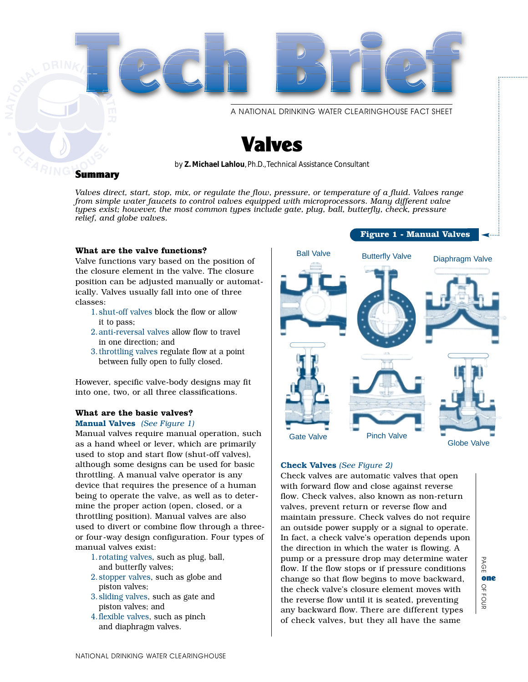

*Valves direct, start, stop, mix, or regulate the flow, pressure, or temperature of a fluid. Valves range from simple water faucets to control valves equipped with microprocessors. Many different valve types exist; however, the most common types include gate, plug, ball, butterfly, check, pressure relief, and globe valves.*

#### **What are the valve functions?**

Valve functions vary based on the position of the closure element in the valve. The closure position can be adjusted manually or automatically. Valves usually fall into one of three classes:

- 1.shut-off valves block the flow or allow it to pass;
- 2.anti-reversal valves allow flow to travel in one direction; and
- 3.throttling valves regulate flow at a point between fully open to fully closed.

However, specific valve-body designs may fit into one, two, or all three classifications.

## **What are the basic valves?**

#### **Manual Valves** *(See Figure 1)*

Manual valves require manual operation, such as a hand wheel or lever, which are primarily used to stop and start flow (shut-off valves), although some designs can be used for basic throttling. A manual valve operator is any device that requires the presence of a human being to operate the valve, as well as to determine the proper action (open, closed, or a throttling position). Manual valves are also used to divert or combine flow through a threeor four-way design configuration. Four types of manual valves exist:

- 1.rotating valves, such as plug, ball, and butterfly valves;
- 2.stopper valves, such as globe and piston valves;
- 3.sliding valves, such as gate and piston valves; and
- 4.flexible valves, such as pinch and diaphragm valves.



#### **Check Valves** *(See Figure 2)*

Check valves are automatic valves that open with forward flow and close against reverse flow. Check valves, also known as non-return valves, prevent return or reverse flow and maintain pressure. Check valves do not require an outside power supply or a signal to operate. In fact, a check valve's operation depends upon the direction in which the water is flowing. A pump or a pressure drop may determine water flow. If the flow stops or if pressure conditions change so that flow begins to move backward, the check valve's closure element moves with the reverse flow until it is seated, preventing any backward flow. There are different types of check valves, but they all have the same

PAGE PAGE OFone  $\Omega$ FOUR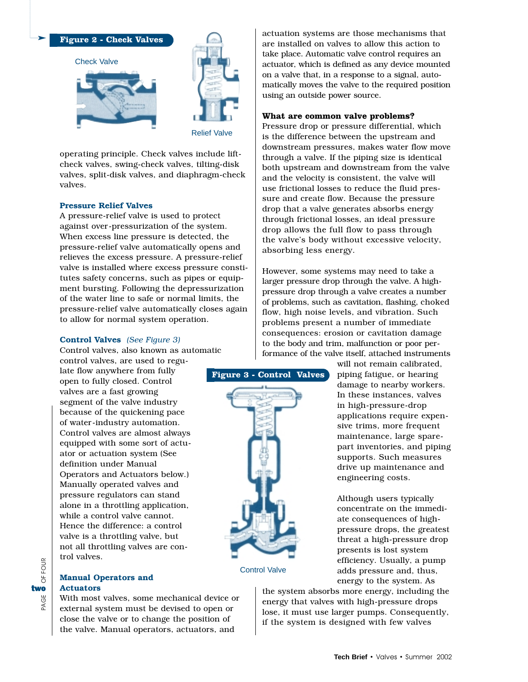

operating principle. Check valves include liftcheck valves, swing-check valves, tilting-disk valves, split-disk valves, and diaphragm-check valves.

### **Pressure Relief Valves**

A pressure-relief valve is used to protect against over-pressurization of the system. When excess line pressure is detected, the pressure-relief valve automatically opens and relieves the excess pressure. A pressure-relief valve is installed where excess pressure constitutes safety concerns, such as pipes or equipment bursting. Following the depressurization of the water line to safe or normal limits, the pressure-relief valve automatically closes again to allow for normal system operation.

## **Control Valves** *(See Figure 3)*

Control valves, also known as automatic

control valves, are used to regulate flow anywhere from fully open to fully closed. Control valves are a fast growing segment of the valve industry because of the quickening pace of water-industry automation. Control valves are almost always equipped with some sort of actuator or actuation system (See definition under Manual Operators and Actuators below.) Manually operated valves and pressure regulators can stand alone in a throttling application, while a control valve cannot. Hence the difference: a control valve is a throttling valve, but not all throttling valves are control valves.

#### **Manual Operators and Actuators**

PAGE OF FOUR

PAGE

OF FOUR

two

With most valves, some mechanical device or external system must be devised to open or close the valve or to change the position of the valve. Manual operators, actuators, and

actuation systems are those mechanisms that are installed on valves to allow this action to take place. Automatic valve control requires an actuator, which is defined as any device mounted on a valve that, in a response to a signal, automatically moves the valve to the required position using an outside power source.

#### **What are common valve problems?**

Pressure drop or pressure differential, which is the difference between the upstream and downstream pressures, makes water flow move through a valve. If the piping size is identical both upstream and downstream from the valve and the velocity is consistent, the valve will use frictional losses to reduce the fluid pressure and create flow. Because the pressure drop that a valve generates absorbs energy through frictional losses, an ideal pressure drop allows the full flow to pass through the valve's body without excessive velocity, absorbing less energy.

However, some systems may need to take a larger pressure drop through the valve. A highpressure drop through a valve creates a number of problems, such as cavitation, flashing, choked flow, high noise levels, and vibration. Such problems present a number of immediate consequences: erosion or cavitation damage to the body and trim, malfunction or poor performance of the valve itself, attached instruments



Control Valve

will not remain calibrated, piping fatigue, or hearing damage to nearby workers. In these instances, valves in high-pressure-drop applications require expensive trims, more frequent maintenance, large sparepart inventories, and piping supports. Such measures drive up maintenance and engineering costs.

Although users typically concentrate on the immediate consequences of highpressure drops, the greatest threat a high-pressure drop presents is lost system efficiency. Usually, a pump adds pressure and, thus, energy to the system. As

the system absorbs more energy, including the energy that valves with high-pressure drops lose, it must use larger pumps. Consequently, if the system is designed with few valves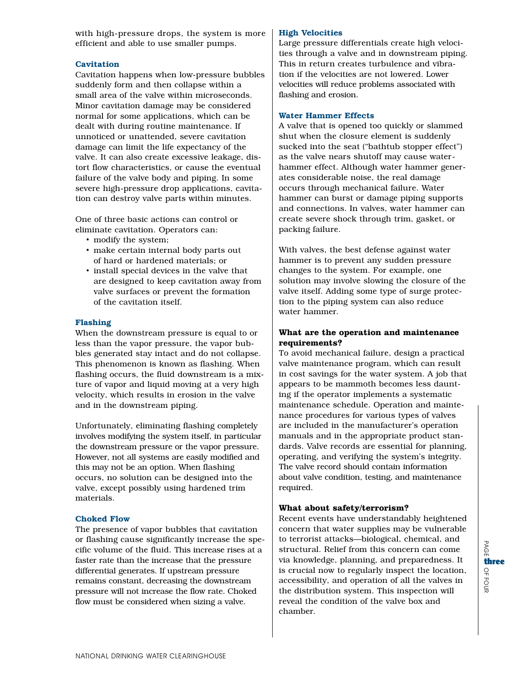with high-pressure drops, the system is more efficient and able to use smaller pumps.

## **Cavitation**

Cavitation happens when low-pressure bubbles suddenly form and then collapse within a small area of the valve within microseconds. Minor cavitation damage may be considered normal for some applications, which can be dealt with during routine maintenance. If unnoticed or unattended, severe cavitation damage can limit the life expectancy of the valve. It can also create excessive leakage, distort flow characteristics, or cause the eventual failure of the valve body and piping. In some severe high-pressure drop applications, cavitation can destroy valve parts within minutes.

One of three basic actions can control or eliminate cavitation. Operators can:

- modify the system;
- make certain internal body parts out of hard or hardened materials; or
- install special devices in the valve that are designed to keep cavitation away from valve surfaces or prevent the formation of the cavitation itself.

#### **Flashing**

When the downstream pressure is equal to or less than the vapor pressure, the vapor bubbles generated stay intact and do not collapse. This phenomenon is known as flashing. When flashing occurs, the fluid downstream is a mixture of vapor and liquid moving at a very high velocity, which results in erosion in the valve and in the downstream piping.

Unfortunately, eliminating flashing completely involves modifying the system itself, in particular the downstream pressure or the vapor pressure. However, not all systems are easily modified and this may not be an option. When flashing occurs, no solution can be designed into the valve, except possibly using hardened trim materials.

## **Choked Flow**

The presence of vapor bubbles that cavitation or flashing cause significantly increase the specific volume of the fluid. This increase rises at a faster rate than the increase that the pressure differential generates. If upstream pressure remains constant, decreasing the downstream pressure will not increase the flow rate. Choked flow must be considered when sizing a valve.

## **High Velocities**

Large pressure differentials create high velocities through a valve and in downstream piping. This in return creates turbulence and vibration if the velocities are not lowered. Lower velocities will reduce problems associated with flashing and erosion.

#### **Water Hammer Effects**

A valve that is opened too quickly or slammed shut when the closure element is suddenly sucked into the seat ("bathtub stopper effect") as the valve nears shutoff may cause waterhammer effect. Although water hammer generates considerable noise, the real damage occurs through mechanical failure. Water hammer can burst or damage piping supports and connections. In valves, water hammer can create severe shock through trim, gasket, or packing failure.

With valves, the best defense against water hammer is to prevent any sudden pressure changes to the system. For example, one solution may involve slowing the closure of the valve itself. Adding some type of surge protection to the piping system can also reduce water hammer.

## **What are the operation and maintenance requirements?**

To avoid mechanical failure, design a practical valve maintenance program, which can result in cost savings for the water system. A job that appears to be mammoth becomes less daunting if the operator implements a systematic maintenance schedule. Operation and maintenance procedures for various types of valves are included in the manufacturer's operation manuals and in the appropriate product standards. Valve records are essential for planning, operating, and verifying the system's integrity. The valve record should contain information about valve condition, testing, and maintenance required.

## **What about safety/terrorism?**

Recent events have understandably heightened concern that water supplies may be vulnerable to terrorist attacks—biological, chemical, and structural. Relief from this concern can come via knowledge, planning, and preparedness. It is crucial now to regularly inspect the location, accessibility, and operation of all the valves in the distribution system. This inspection will reveal the condition of the valve box and chamber.